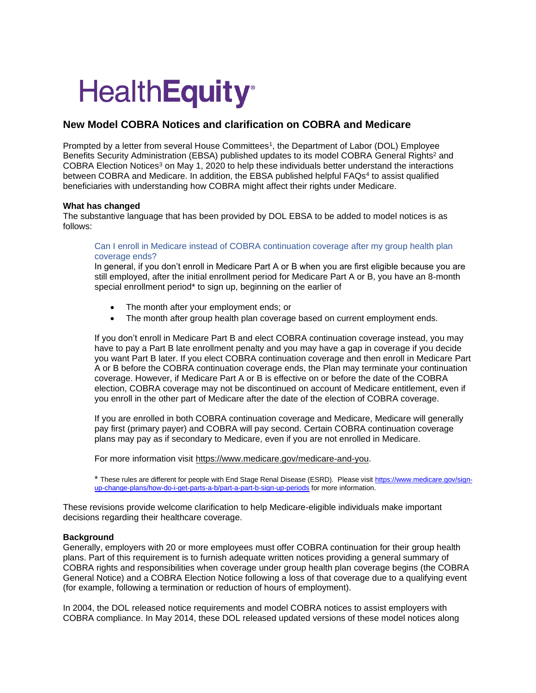# **HealthEquity®**

# **New Model COBRA Notices and clarification on COBRA and Medicare**

Prompted by a letter from several House Committees<sup>1</sup>, the Department of Labor (DOL) Employee Benefits Security Administration (EBSA) published updates to its model COBRA General Rights<sup>2</sup> and COBRA Election Notices<sup>3</sup> on May 1, 2020 to help these individuals better understand the interactions between COBRA and Medicare. In addition, the EBSA published helpful FAQs<sup>4</sup> to assist qualified beneficiaries with understanding how COBRA might affect their rights under Medicare.

## **What has changed**

The substantive language that has been provided by DOL EBSA to be added to model notices is as follows:

# Can I enroll in Medicare instead of COBRA continuation coverage after my group health plan coverage ends?

In general, if you don't enroll in Medicare Part A or B when you are first eligible because you are still employed, after the initial enrollment period for Medicare Part A or B, you have an 8-month special enrollment period\* to sign up, beginning on the earlier of

- The month after your employment ends; or
- The month after group health plan coverage based on current employment ends.

If you don't enroll in Medicare Part B and elect COBRA continuation coverage instead, you may have to pay a Part B late enrollment penalty and you may have a gap in coverage if you decide you want Part B later. If you elect COBRA continuation coverage and then enroll in Medicare Part A or B before the COBRA continuation coverage ends, the Plan may terminate your continuation coverage. However, if Medicare Part A or B is effective on or before the date of the COBRA election, COBRA coverage may not be discontinued on account of Medicare entitlement, even if you enroll in the other part of Medicare after the date of the election of COBRA coverage.

If you are enrolled in both COBRA continuation coverage and Medicare, Medicare will generally pay first (primary payer) and COBRA will pay second. Certain COBRA continuation coverage plans may pay as if secondary to Medicare, even if you are not enrolled in Medicare.

For more information visit [https://www.medicare.gov/medicare-and-you.](https://www.medicare.gov/medicare-and-you)

\* These rules are different for people with End Stage Renal Disease (ESRD). Please visi[t https://www.medicare.gov/sign](https://www.medicare.gov/sign-%09up-change-plans/how-do-i-get-parts-a-b/part-a-part-b-sign-up-periods)[up-change-plans/how-do-i-get-parts-a-b/part-a-part-b-sign-up-periods](https://www.medicare.gov/sign-%09up-change-plans/how-do-i-get-parts-a-b/part-a-part-b-sign-up-periods) for more information.

These revisions provide welcome clarification to help Medicare-eligible individuals make important decisions regarding their healthcare coverage.

## **Background**

Generally, employers with 20 or more employees must offer COBRA continuation for their group health plans. Part of this requirement is to furnish adequate written notices providing a general summary of COBRA rights and responsibilities when coverage under group health plan coverage begins (the COBRA General Notice) and a COBRA Election Notice following a loss of that coverage due to a qualifying event (for example, following a termination or reduction of hours of employment).

In 2004, the DOL released notice requirements and model COBRA notices to assist employers with COBRA compliance. In May 2014, these DOL released updated versions of these model notices along